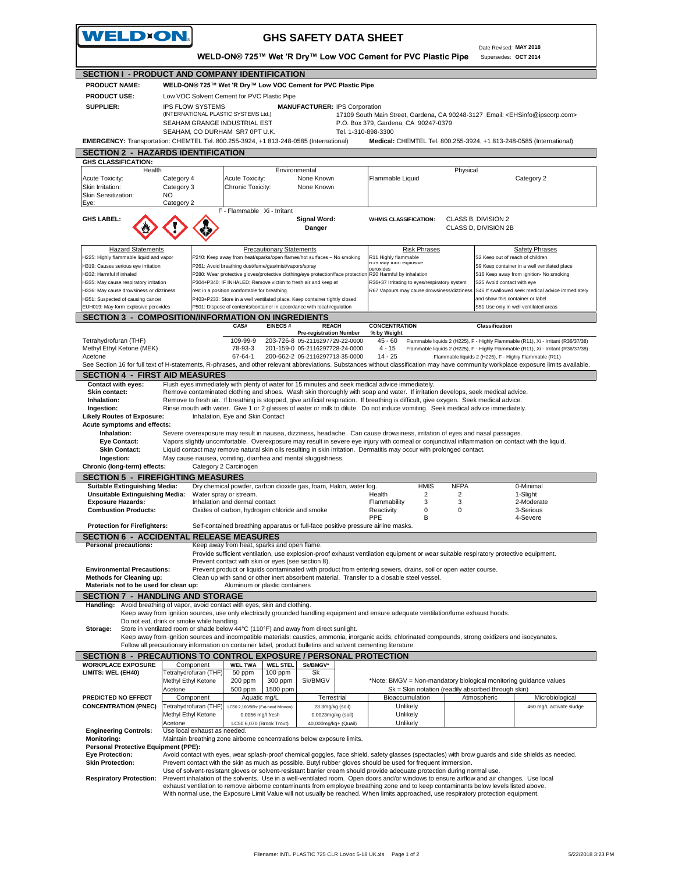| <b>WELDON.</b>                                                                                                                                                                                                       |                                                                 |                              |                                                                                                                                 |                                 | <b>GHS SAFETY DATA SHEET</b>                                                                          |                     |                                                                                                                                                                                                                                                                              |                                                    |                                             |                                                                                                                                                                                                                                  |
|----------------------------------------------------------------------------------------------------------------------------------------------------------------------------------------------------------------------|-----------------------------------------------------------------|------------------------------|---------------------------------------------------------------------------------------------------------------------------------|---------------------------------|-------------------------------------------------------------------------------------------------------|---------------------|------------------------------------------------------------------------------------------------------------------------------------------------------------------------------------------------------------------------------------------------------------------------------|----------------------------------------------------|---------------------------------------------|----------------------------------------------------------------------------------------------------------------------------------------------------------------------------------------------------------------------------------|
|                                                                                                                                                                                                                      |                                                                 |                              |                                                                                                                                 |                                 |                                                                                                       |                     |                                                                                                                                                                                                                                                                              |                                                    | Date Revised: MAY 2018                      | Supersedes: OCT 2014                                                                                                                                                                                                             |
| WELD-ON® 725™ Wet 'R Dry™ Low VOC Cement for PVC Plastic Pipe<br><b>SECTION I - PRODUCT AND COMPANY IDENTIFICATION</b>                                                                                               |                                                                 |                              |                                                                                                                                 |                                 |                                                                                                       |                     |                                                                                                                                                                                                                                                                              |                                                    |                                             |                                                                                                                                                                                                                                  |
| <b>PRODUCT NAME:</b>                                                                                                                                                                                                 |                                                                 |                              | WELD-ON® 725™ Wet 'R Dry™ Low VOC Cement for PVC Plastic Pipe                                                                   |                                 |                                                                                                       |                     |                                                                                                                                                                                                                                                                              |                                                    |                                             |                                                                                                                                                                                                                                  |
| <b>PRODUCT USE:</b>                                                                                                                                                                                                  |                                                                 |                              | Low VOC Solvent Cement for PVC Plastic Pipe                                                                                     |                                 |                                                                                                       |                     |                                                                                                                                                                                                                                                                              |                                                    |                                             |                                                                                                                                                                                                                                  |
| <b>SUPPLIER:</b>                                                                                                                                                                                                     | <b>IPS FLOW SYSTEMS</b><br><b>MANUFACTURER: IPS Corporation</b> |                              |                                                                                                                                 |                                 |                                                                                                       |                     |                                                                                                                                                                                                                                                                              |                                                    |                                             |                                                                                                                                                                                                                                  |
| (INTERNATIONAL PLASTIC SYSTEMS Ltd.)<br>17109 South Main Street, Gardena, CA 90248-3127 Email: <ehsinfo@ipscorp.com><br/>SEAHAM GRANGE INDUSTRIAL EST<br/>P.O. Box 379, Gardena, CA 90247-0379</ehsinfo@ipscorp.com> |                                                                 |                              |                                                                                                                                 |                                 |                                                                                                       |                     |                                                                                                                                                                                                                                                                              |                                                    |                                             |                                                                                                                                                                                                                                  |
|                                                                                                                                                                                                                      |                                                                 |                              | SEAHAM, CO DURHAM SR7 0PT U.K.                                                                                                  |                                 |                                                                                                       | Tel. 1-310-898-3300 |                                                                                                                                                                                                                                                                              |                                                    |                                             |                                                                                                                                                                                                                                  |
| EMERGENCY: Transportation: CHEMTEL Tel. 800.255-3924, +1 813-248-0585 (International)                                                                                                                                |                                                                 |                              |                                                                                                                                 |                                 |                                                                                                       |                     |                                                                                                                                                                                                                                                                              |                                                    |                                             | Medical: CHEMTEL Tel. 800.255-3924, +1 813-248-0585 (International)                                                                                                                                                              |
| <b>SECTION 2 - HAZARDS IDENTIFICATION</b>                                                                                                                                                                            |                                                                 |                              |                                                                                                                                 |                                 |                                                                                                       |                     |                                                                                                                                                                                                                                                                              |                                                    |                                             |                                                                                                                                                                                                                                  |
| <b>GHS CLASSIFICATION:</b><br>Health                                                                                                                                                                                 |                                                                 |                              |                                                                                                                                 | Environmental                   |                                                                                                       |                     |                                                                                                                                                                                                                                                                              | Physical                                           |                                             |                                                                                                                                                                                                                                  |
| <b>Acute Toxicity:</b>                                                                                                                                                                                               | Category 4                                                      |                              | Acute Toxicity:                                                                                                                 |                                 | None Known                                                                                            |                     | Flammable Liquid                                                                                                                                                                                                                                                             |                                                    |                                             | Category 2                                                                                                                                                                                                                       |
| Skin Irritation:                                                                                                                                                                                                     | Category 3                                                      |                              | Chronic Toxicity:                                                                                                               |                                 | None Known                                                                                            |                     |                                                                                                                                                                                                                                                                              |                                                    |                                             |                                                                                                                                                                                                                                  |
| <b>Skin Sensitization:</b><br>Eye:                                                                                                                                                                                   | NO.<br>Category 2                                               |                              |                                                                                                                                 |                                 |                                                                                                       |                     |                                                                                                                                                                                                                                                                              |                                                    |                                             |                                                                                                                                                                                                                                  |
|                                                                                                                                                                                                                      |                                                                 |                              | F - Flammable Xi - Irritant                                                                                                     |                                 |                                                                                                       |                     |                                                                                                                                                                                                                                                                              |                                                    |                                             |                                                                                                                                                                                                                                  |
| <b>GHS LABEL:</b>                                                                                                                                                                                                    |                                                                 |                              |                                                                                                                                 |                                 | Signal Word:<br>Danger                                                                                |                     | <b>WHMIS CLASSIFICATION:</b>                                                                                                                                                                                                                                                 |                                                    | CLASS B, DIVISION 2<br>CLASS D, DIVISION 2B |                                                                                                                                                                                                                                  |
| <b>Hazard Statements</b>                                                                                                                                                                                             |                                                                 |                              |                                                                                                                                 | <b>Precautionary Statements</b> |                                                                                                       |                     |                                                                                                                                                                                                                                                                              | <b>Risk Phrases</b>                                |                                             | <b>Safety Phrases</b>                                                                                                                                                                                                            |
| H225: Highly flammable liquid and vapor<br>H319: Causes serious eye irritation                                                                                                                                       |                                                                 |                              | P210: Keep away from heat/sparks/open flames/hot surfaces - No smoking<br>P261: Avoid breathing dust/fume/gas/mist/vapors/spray |                                 |                                                                                                       |                     | R11 Highly flammable<br>R19 May form explosive                                                                                                                                                                                                                               |                                                    |                                             | S2 Keep out of reach of children<br>S9 Keep container in a well ventilated place                                                                                                                                                 |
| H332: Harmful if inhaled                                                                                                                                                                                             |                                                                 |                              |                                                                                                                                 |                                 |                                                                                                       |                     | neroxides<br>P280: Wear protective gloves/protective clothing/eye protection/face protection R20 Harmful by inhalation                                                                                                                                                       |                                                    |                                             | S16 Keep away from ignition- No smoking                                                                                                                                                                                          |
| H335: May cause respiratory irritation                                                                                                                                                                               |                                                                 |                              | P304+P340: IF INHALED: Remove victim to fresh air and keep at                                                                   |                                 |                                                                                                       |                     | R36+37 Irritating to eyes/respiratory system                                                                                                                                                                                                                                 |                                                    | S25 Avoid contact with eye                  |                                                                                                                                                                                                                                  |
| H336: May cause drowsiness or dizziness<br>H351: Suspected of causing cancer                                                                                                                                         |                                                                 |                              | rest in a position comfortable for breathing<br>P403+P233: Store in a well ventilated place. Keep container tightly closed      |                                 |                                                                                                       |                     | R67 Vapours may cause drowsiness/dizziness                                                                                                                                                                                                                                   |                                                    |                                             | S46 If swallowed seek medical advice immediately<br>and show this container or label                                                                                                                                             |
| EUH019: May form explosive peroxides                                                                                                                                                                                 |                                                                 |                              | P501: Dispose of contents/container in accordance with local regulation                                                         |                                 |                                                                                                       |                     |                                                                                                                                                                                                                                                                              |                                                    |                                             | S51 Use only in well ventilated areas                                                                                                                                                                                            |
| <b>SECTION 3 - COMPOSITION/INFORMATION ON INGREDIENTS</b>                                                                                                                                                            |                                                                 |                              |                                                                                                                                 |                                 |                                                                                                       |                     |                                                                                                                                                                                                                                                                              |                                                    |                                             |                                                                                                                                                                                                                                  |
|                                                                                                                                                                                                                      |                                                                 |                              | CAS#                                                                                                                            | <b>EINECS#</b>                  | <b>REACH</b><br><b>Pre-registration Number</b>                                                        |                     | <b>CONCENTRATION</b><br>% by Weight                                                                                                                                                                                                                                          |                                                    | <b>Classification</b>                       |                                                                                                                                                                                                                                  |
| Tetrahydrofuran (THF)<br>Methyl Ethyl Ketone (MEK)<br>Acetone                                                                                                                                                        |                                                                 |                              | 109-99-9<br>78-93-3<br>67-64-1                                                                                                  |                                 | 203-726-8 05-2116297729-22-0000<br>201-159-0 05-2116297728-24-0000<br>200-662-2 05-2116297713-35-0000 |                     | 45 - 60<br>$4 - 15$<br>$14 - 25$                                                                                                                                                                                                                                             |                                                    |                                             | Flammable liquids 2 (H225), F - Highly Flammable (R11), Xi - Irritant (R36/37/38)<br>Flammable liquids 2 (H225), F - Highly Flammable (R11), Xi - Irritant (R36/37/38)<br>Flammable liquids 2 (H225), F - Highly Flammable (R11) |
|                                                                                                                                                                                                                      |                                                                 |                              |                                                                                                                                 |                                 |                                                                                                       |                     |                                                                                                                                                                                                                                                                              |                                                    |                                             | See Section 16 for full text of H-statements, R-phrases, and other relevant abbreviations. Substances without classification may have community workplace exposure limits available.                                             |
| <b>SECTION 4 - FIRST AID MEASURES</b>                                                                                                                                                                                |                                                                 |                              |                                                                                                                                 |                                 |                                                                                                       |                     |                                                                                                                                                                                                                                                                              |                                                    |                                             |                                                                                                                                                                                                                                  |
| <b>Contact with eyes:</b><br>Skin contact:                                                                                                                                                                           |                                                                 |                              |                                                                                                                                 |                                 |                                                                                                       |                     | Flush eyes immediately with plenty of water for 15 minutes and seek medical advice immediately.<br>Remove contaminated clothing and shoes. Wash skin thoroughly with soap and water. If irritation develops, seek medical advice.                                            |                                                    |                                             |                                                                                                                                                                                                                                  |
| Inhalation:                                                                                                                                                                                                          |                                                                 |                              |                                                                                                                                 |                                 |                                                                                                       |                     | Remove to fresh air. If breathing is stopped, give artificial respiration. If breathing is difficult, give oxygen. Seek medical advice.                                                                                                                                      |                                                    |                                             |                                                                                                                                                                                                                                  |
| Ingestion:                                                                                                                                                                                                           |                                                                 |                              |                                                                                                                                 |                                 |                                                                                                       |                     | Rinse mouth with water. Give 1 or 2 glasses of water or milk to dilute. Do not induce vomiting. Seek medical advice immediately.                                                                                                                                             |                                                    |                                             |                                                                                                                                                                                                                                  |
| <b>Likely Routes of Exposure:</b><br>Acute symptoms and effects:                                                                                                                                                     |                                                                 |                              | Inhalation, Eye and Skin Contact                                                                                                |                                 |                                                                                                       |                     |                                                                                                                                                                                                                                                                              |                                                    |                                             |                                                                                                                                                                                                                                  |
| Inhalation:                                                                                                                                                                                                          |                                                                 |                              |                                                                                                                                 |                                 |                                                                                                       |                     | Severe overexposure may result in nausea, dizziness, headache. Can cause drowsiness, irritation of eyes and nasal passages.                                                                                                                                                  |                                                    |                                             |                                                                                                                                                                                                                                  |
| <b>Eye Contact:</b>                                                                                                                                                                                                  |                                                                 |                              |                                                                                                                                 |                                 |                                                                                                       |                     |                                                                                                                                                                                                                                                                              |                                                    |                                             | Vapors slightly uncomfortable. Overexposure may result in severe eye injury with corneal or conjunctival inflammation on contact with the liquid.                                                                                |
| <b>Skin Contact:</b><br>Ingestion:                                                                                                                                                                                   |                                                                 |                              | May cause nausea, vomiting, diarrhea and mental sluggishness.                                                                   |                                 |                                                                                                       |                     | Liquid contact may remove natural skin oils resulting in skin irritation. Dermatitis may occur with prolonged contact.                                                                                                                                                       |                                                    |                                             |                                                                                                                                                                                                                                  |
| Chronic (long-term) effects:                                                                                                                                                                                         |                                                                 |                              | Category 2 Carcinogen                                                                                                           |                                 |                                                                                                       |                     |                                                                                                                                                                                                                                                                              |                                                    |                                             |                                                                                                                                                                                                                                  |
| <b>SECTION 5 - FIREFIGHTING MEASURES</b>                                                                                                                                                                             |                                                                 |                              |                                                                                                                                 |                                 |                                                                                                       |                     |                                                                                                                                                                                                                                                                              |                                                    |                                             |                                                                                                                                                                                                                                  |
| <b>Suitable Extinguishing Media:</b><br><b>Unsuitable Extinguishing Media:</b>                                                                                                                                       |                                                                 |                              | Dry chemical powder, carbon dioxide gas, foam, Halon, water fog.<br>Water spray or stream.                                      |                                 |                                                                                                       |                     | Health                                                                                                                                                                                                                                                                       | <b>NFPA</b><br><b>HMIS</b><br>2<br>$\overline{2}$  |                                             | 0-Minimal<br>1-Slight                                                                                                                                                                                                            |
| <b>Exposure Hazards:</b>                                                                                                                                                                                             |                                                                 |                              | Inhalation and dermal contact                                                                                                   |                                 |                                                                                                       |                     | Flammability                                                                                                                                                                                                                                                                 | 3<br>3                                             |                                             | 2-Moderate                                                                                                                                                                                                                       |
| <b>Combustion Products:</b>                                                                                                                                                                                          |                                                                 |                              | Oxides of carbon, hydrogen chloride and smoke                                                                                   |                                 |                                                                                                       |                     | Reactivity                                                                                                                                                                                                                                                                   | 0<br>0                                             |                                             | 3-Serious                                                                                                                                                                                                                        |
| <b>Protection for Firefighters:</b>                                                                                                                                                                                  |                                                                 |                              |                                                                                                                                 |                                 |                                                                                                       |                     | <b>PPE</b><br>Self-contained breathing apparatus or full-face positive pressure airline masks.                                                                                                                                                                               | В                                                  |                                             | 4-Severe                                                                                                                                                                                                                         |
| <b>SECTION 6 - ACCIDENTAL RELEASE MEASURES</b>                                                                                                                                                                       |                                                                 |                              |                                                                                                                                 |                                 |                                                                                                       |                     |                                                                                                                                                                                                                                                                              |                                                    |                                             |                                                                                                                                                                                                                                  |
| <b>Personal precautions:</b>                                                                                                                                                                                         |                                                                 |                              | Keep away from heat, sparks and open flame.                                                                                     |                                 |                                                                                                       |                     |                                                                                                                                                                                                                                                                              |                                                    |                                             |                                                                                                                                                                                                                                  |
|                                                                                                                                                                                                                      |                                                                 |                              | Prevent contact with skin or eyes (see section 8).                                                                              |                                 |                                                                                                       |                     | Provide sufficient ventilation, use explosion-proof exhaust ventilation equipment or wear suitable respiratory protective equipment.                                                                                                                                         |                                                    |                                             |                                                                                                                                                                                                                                  |
| <b>Environmental Precautions:</b>                                                                                                                                                                                    |                                                                 |                              |                                                                                                                                 |                                 |                                                                                                       |                     | Prevent product or liquids contaminated with product from entering sewers, drains, soil or open water course.                                                                                                                                                                |                                                    |                                             |                                                                                                                                                                                                                                  |
| <b>Methods for Cleaning up:</b><br>Materials not to be used for clean up:                                                                                                                                            |                                                                 |                              | Aluminum or plastic containers                                                                                                  |                                 |                                                                                                       |                     | Clean up with sand or other inert absorbent material. Transfer to a closable steel vessel.                                                                                                                                                                                   |                                                    |                                             |                                                                                                                                                                                                                                  |
| <b>SECTION 7 - HANDLING AND STORAGE</b>                                                                                                                                                                              |                                                                 |                              |                                                                                                                                 |                                 |                                                                                                       |                     |                                                                                                                                                                                                                                                                              |                                                    |                                             |                                                                                                                                                                                                                                  |
| Handling: Avoid breathing of vapor, avoid contact with eyes, skin and clothing.                                                                                                                                      |                                                                 |                              |                                                                                                                                 |                                 |                                                                                                       |                     |                                                                                                                                                                                                                                                                              |                                                    |                                             |                                                                                                                                                                                                                                  |
| Do not eat, drink or smoke while handling.                                                                                                                                                                           |                                                                 |                              |                                                                                                                                 |                                 |                                                                                                       |                     | Keep away from ignition sources, use only electrically grounded handling equipment and ensure adequate ventilation/fume exhaust hoods.                                                                                                                                       |                                                    |                                             |                                                                                                                                                                                                                                  |
| Store in ventilated room or shade below 44°C (110°F) and away from direct sunlight.<br>Storage:                                                                                                                      |                                                                 |                              |                                                                                                                                 |                                 |                                                                                                       |                     |                                                                                                                                                                                                                                                                              |                                                    |                                             |                                                                                                                                                                                                                                  |
|                                                                                                                                                                                                                      |                                                                 |                              |                                                                                                                                 |                                 |                                                                                                       |                     | Keep away from ignition sources and incompatible materials: caustics, ammonia, inorganic acids, chlorinated compounds, strong oxidizers and isocyanates.                                                                                                                     |                                                    |                                             |                                                                                                                                                                                                                                  |
| SECTION 8 - PRECAUTIONS TO CONTROL EXPOSURE / PERSONAL PROTECTION                                                                                                                                                    |                                                                 |                              |                                                                                                                                 |                                 |                                                                                                       |                     | Follow all precautionary information on container label, product bulletins and solvent cementing literature.                                                                                                                                                                 |                                                    |                                             |                                                                                                                                                                                                                                  |
| <b>WORKPLACE EXPOSURE</b>                                                                                                                                                                                            |                                                                 | Component                    | <b>WEL TWA</b>                                                                                                                  | <b>WEL STEL</b>                 | Sk/BMGV*                                                                                              |                     |                                                                                                                                                                                                                                                                              |                                                    |                                             |                                                                                                                                                                                                                                  |
| LIMITS: WEL (EH40)                                                                                                                                                                                                   |                                                                 | Tetrahydrofuran (THF)        | 50 ppm                                                                                                                          | 100 ppm                         | Sk                                                                                                    |                     |                                                                                                                                                                                                                                                                              |                                                    |                                             |                                                                                                                                                                                                                                  |
|                                                                                                                                                                                                                      | Methyl Ethyl Ketone<br>Acetone                                  |                              | 200 ppm<br>500 ppm                                                                                                              | 300 ppm<br>1500 ppm             | Sk/BMGV                                                                                               |                     |                                                                                                                                                                                                                                                                              | Sk = Skin notation (readily absorbed through skin) |                                             | *Note: BMGV = Non-mandatory biological monitoring guidance values                                                                                                                                                                |
| PREDICTED NO EFFECT                                                                                                                                                                                                  |                                                                 | Component                    | Aquatic mg/L                                                                                                                    |                                 | Terrestrial                                                                                           |                     | Bioaccumulation                                                                                                                                                                                                                                                              |                                                    | Atmospheric                                 | Microbiological                                                                                                                                                                                                                  |
| <b>CONCENTRATION (PNEC)</b>                                                                                                                                                                                          |                                                                 | Tetrahydrofuran (THF         | LC50 2,160/96hr (Fat-head Minnow)                                                                                               |                                 | 23.3mg/kg (soil)                                                                                      |                     | Unlikely                                                                                                                                                                                                                                                                     |                                                    |                                             | 460 mg/L activate sludge                                                                                                                                                                                                         |
|                                                                                                                                                                                                                      | Methyl Ethyl Ketone<br>Acetone                                  |                              | 0.0056 mg/l fresh<br>LC50 6,070 (Brook Trout)                                                                                   |                                 | 0.0023mg/kg (soil)<br>40,000mg/kg+ (Quail)                                                            |                     | Unlikely<br>Unlikely                                                                                                                                                                                                                                                         |                                                    |                                             |                                                                                                                                                                                                                                  |
| <b>Engineering Controls:</b>                                                                                                                                                                                         |                                                                 | Use local exhaust as needed. |                                                                                                                                 |                                 |                                                                                                       |                     |                                                                                                                                                                                                                                                                              |                                                    |                                             |                                                                                                                                                                                                                                  |
| <b>Monitoring:</b>                                                                                                                                                                                                   |                                                                 |                              | Maintain breathing zone airborne concentrations below exposure limits.                                                          |                                 |                                                                                                       |                     |                                                                                                                                                                                                                                                                              |                                                    |                                             |                                                                                                                                                                                                                                  |
| Personal Protective Equipment (PPE):<br><b>Eye Protection:</b>                                                                                                                                                       |                                                                 |                              |                                                                                                                                 |                                 |                                                                                                       |                     |                                                                                                                                                                                                                                                                              |                                                    |                                             | Avoid contact with eyes, wear splash-proof chemical goggles, face shield, safety glasses (spectacles) with brow guards and side shields as needed.                                                                               |
| <b>Skin Protection:</b>                                                                                                                                                                                              |                                                                 |                              |                                                                                                                                 |                                 |                                                                                                       |                     | Prevent contact with the skin as much as possible. Butyl rubber gloves should be used for frequent immersion.                                                                                                                                                                |                                                    |                                             |                                                                                                                                                                                                                                  |
| <b>Respiratory Protection:</b>                                                                                                                                                                                       |                                                                 |                              |                                                                                                                                 |                                 |                                                                                                       |                     | Use of solvent-resistant gloves or solvent-resistant barrier cream should provide adequate protection during normal use.<br>Prevent inhalation of the solvents. Use in a well-ventilated room. Open doors and/or windows to ensure airflow and air changes. Use local        |                                                    |                                             |                                                                                                                                                                                                                                  |
|                                                                                                                                                                                                                      |                                                                 |                              |                                                                                                                                 |                                 |                                                                                                       |                     | exhaust ventilation to remove airborne contaminants from employee breathing zone and to keep contaminants below levels listed above.<br>With normal use, the Exposure Limit Value will not usually be reached. When limits approached, use respiratory protection equipment. |                                                    |                                             |                                                                                                                                                                                                                                  |